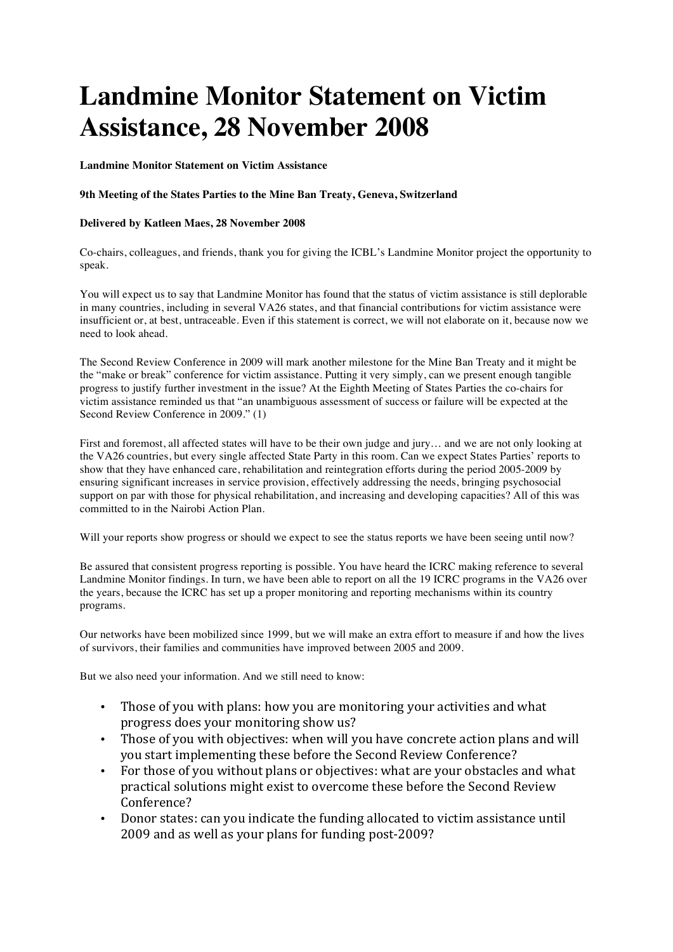## **Landmine Monitor Statement on Victim Assistance, 28 November 2008**

**Landmine Monitor Statement on Victim Assistance**

## **9th Meeting of the States Parties to the Mine Ban Treaty, Geneva, Switzerland**

## **Delivered by Katleen Maes, 28 November 2008**

Co-chairs, colleagues, and friends, thank you for giving the ICBL's Landmine Monitor project the opportunity to speak.

You will expect us to say that Landmine Monitor has found that the status of victim assistance is still deplorable in many countries, including in several VA26 states, and that financial contributions for victim assistance were insufficient or, at best, untraceable. Even if this statement is correct, we will not elaborate on it, because now we need to look ahead.

The Second Review Conference in 2009 will mark another milestone for the Mine Ban Treaty and it might be the "make or break" conference for victim assistance. Putting it very simply, can we present enough tangible progress to justify further investment in the issue? At the Eighth Meeting of States Parties the co-chairs for victim assistance reminded us that "an unambiguous assessment of success or failure will be expected at the Second Review Conference in 2009." (1)

First and foremost, all affected states will have to be their own judge and jury… and we are not only looking at the VA26 countries, but every single affected State Party in this room. Can we expect States Parties' reports to show that they have enhanced care, rehabilitation and reintegration efforts during the period 2005-2009 by ensuring significant increases in service provision, effectively addressing the needs, bringing psychosocial support on par with those for physical rehabilitation, and increasing and developing capacities? All of this was committed to in the Nairobi Action Plan.

Will your reports show progress or should we expect to see the status reports we have been seeing until now?

Be assured that consistent progress reporting is possible. You have heard the ICRC making reference to several Landmine Monitor findings. In turn, we have been able to report on all the 19 ICRC programs in the VA26 over the years, because the ICRC has set up a proper monitoring and reporting mechanisms within its country programs.

Our networks have been mobilized since 1999, but we will make an extra effort to measure if and how the lives of survivors, their families and communities have improved between 2005 and 2009.

But we also need your information. And we still need to know:

- Those of you with plans: how you are monitoring your activities and what progress does your monitoring show us?
- Those of vou with obiectives: when will you have concrete action plans and will you start implementing these before the Second Review Conference?
- For those of you without plans or objectives: what are your obstacles and what practical solutions might exist to overcome these before the Second Review Conference?
- Donor states: can you indicate the funding allocated to victim assistance until 2009 and as well as your plans for funding post-2009?